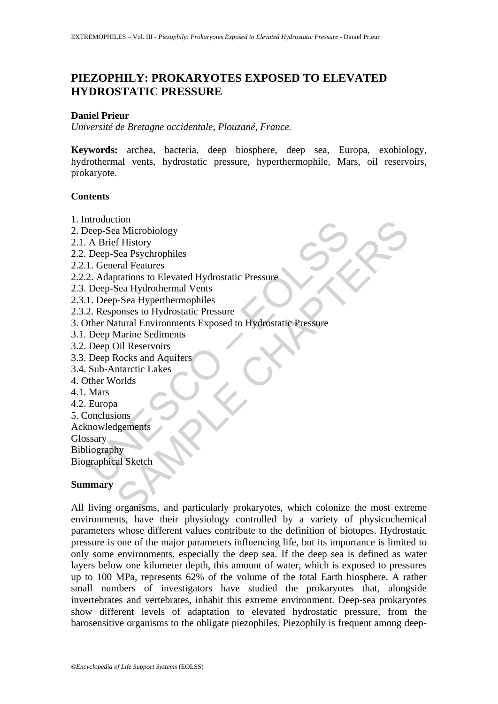# **PIEZOPHILY: PROKARYOTES EXPOSED TO ELEVATED HYDROSTATIC PRESSURE**

### **Daniel Prieur**

*Université de Bretagne occidentale, Plouzané, France.* 

**Keywords:** archea, bacteria, deep biosphere, deep sea, Europa, exobiology, hydrothermal vents, hydrostatic pressure, hyperthermophile, Mars, oil reservoirs, prokaryote.

## **Contents**

- 1. Introduction
- 2. Deep-Sea Microbiology
- 2.1. A Brief History
- 2.2. Deep-Sea Psychrophiles
- 2.2.1. General Features
- 2.2.2. Adaptations to Elevated Hydrostatic Pressure
- 2.3. Deep-Sea Hydrothermal Vents
- 2.3.1. Deep-Sea Hyperthermophiles
- 2.3.2. Responses to Hydrostatic Pressure
- Modellon<br>
Modellon (Marcola)<br>
A Brief History<br>
Deep-Sea Psychrophiles<br>
1. General Features<br>
2. Adaptations to Elevated Hydrostatic Pressure<br>
Deep-Sea Hyderthermophiles<br>
1. Deep-Sea Hyperthermophiles<br>
2. Responses to Hydros 3. Other Natural Environments Exposed to Hydrostatic Pressure
- 3.1. Deep Marine Sediments
- 3.2. Deep Oil Reservoirs
- 3.3. Deep Rocks and Aquifers
- 3.4. Sub-Antarctic Lakes
- 4. Other Worlds
- 4.1. Mars
- 4.2. Europa
- 5. Conclusions

Acknowledgements

Glossary Bibliography

Biographical Sketch

### **Summary**

ton<br>
a Microbiology<br>
a Microbiology<br>
F History<br>
Sea Psychrophiles<br>
Sea Hydrothermal Vents<br>
Description is the Selevated Hydrostatic Pressure<br>
Sea Hydrothermal Vents<br>
Sea Hydrothermal Vents<br>
Sea Hydrothermal Vents<br>
Sea Micr All living organisms, and particularly prokaryotes, which colonize the most extreme environments, have their physiology controlled by a variety of physicochemical parameters whose different values contribute to the definition of biotopes. Hydrostatic pressure is one of the major parameters influencing life, but its importance is limited to only some environments, especially the deep sea. If the deep sea is defined as water layers below one kilometer depth, this amount of water, which is exposed to pressures up to 100 MPa, represents 62% of the volume of the total Earth biosphere. A rather small numbers of investigators have studied the prokaryotes that, alongside invertebrates and vertebrates, inhabit this extreme environment. Deep-sea prokaryotes show different levels of adaptation to elevated hydrostatic pressure, from the barosensitive organisms to the obligate piezophiles. Piezophily is frequent among deep-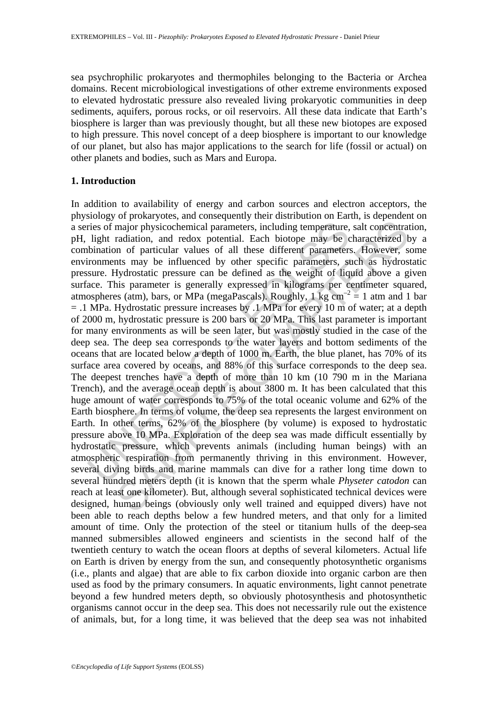sea psychrophilic prokaryotes and thermophiles belonging to the Bacteria or Archea domains. Recent microbiological investigations of other extreme environments exposed to elevated hydrostatic pressure also revealed living prokaryotic communities in deep sediments, aquifers, porous rocks, or oil reservoirs. All these data indicate that Earth's biosphere is larger than was previously thought, but all these new biotopes are exposed to high pressure. This novel concept of a deep biosphere is important to our knowledge of our planet, but also has major applications to the search for life (fossil or actual) on other planets and bodies, such as Mars and Europa.

## **1. Introduction**

ries of major physicochemical parameters, including temperature,<br>light radiation, and redox potential. Each biotope may be c<br>bination of particular values of all these different parameters<br>romments may be influenced by ot major physicochemical parameters, including temperature, salt concentrated<br>and major physicochemical parameters, including temperature, salt concentrated<br>and in on derducar values of all these different parameters. Howeve In addition to availability of energy and carbon sources and electron acceptors, the physiology of prokaryotes, and consequently their distribution on Earth, is dependent on a series of major physicochemical parameters, including temperature, salt concentration, pH, light radiation, and redox potential. Each biotope may be characterized by a combination of particular values of all these different parameters. However, some environments may be influenced by other specific parameters, such as hydrostatic pressure. Hydrostatic pressure can be defined as the weight of liquid above a given surface. This parameter is generally expressed in kilograms per centimeter squared, atmospheres (atm), bars, or MPa (megaPascals). Roughly, 1 kg  $\text{cm}^{-2} = 1$  atm and 1 bar  $= .1$  MPa. Hydrostatic pressure increases by .1 MPa for every 10 m of water; at a depth of 2000 m, hydrostatic pressure is 200 bars or 20 MPa. This last parameter is important for many environments as will be seen later, but was mostly studied in the case of the deep sea. The deep sea corresponds to the water layers and bottom sediments of the oceans that are located below a depth of 1000 m. Earth, the blue planet, has 70% of its surface area covered by oceans, and 88% of this surface corresponds to the deep sea. The deepest trenches have a depth of more than 10 km (10 790 m in the Mariana Trench), and the average ocean depth is about 3800 m. It has been calculated that this huge amount of water corresponds to 75% of the total oceanic volume and 62% of the Earth biosphere. In terms of volume, the deep sea represents the largest environment on Earth. In other terms, 62% of the biosphere (by volume) is exposed to hydrostatic pressure above 10 MPa. Exploration of the deep sea was made difficult essentially by hydrostatic pressure, which prevents animals (including human beings) with an atmospheric respiration from permanently thriving in this environment. However, several diving birds and marine mammals can dive for a rather long time down to several hundred meters depth (it is known that the sperm whale *Physeter catodon* can reach at least one kilometer). But, although several sophisticated technical devices were designed, human beings (obviously only well trained and equipped divers) have not been able to reach depths below a few hundred meters, and that only for a limited amount of time. Only the protection of the steel or titanium hulls of the deep-sea manned submersibles allowed engineers and scientists in the second half of the twentieth century to watch the ocean floors at depths of several kilometers. Actual life on Earth is driven by energy from the sun, and consequently photosynthetic organisms (i.e., plants and algae) that are able to fix carbon dioxide into organic carbon are then used as food by the primary consumers. In aquatic environments, light cannot penetrate beyond a few hundred meters depth, so obviously photosynthesis and photosynthetic organisms cannot occur in the deep sea. This does not necessarily rule out the existence of animals, but, for a long time, it was believed that the deep sea was not inhabited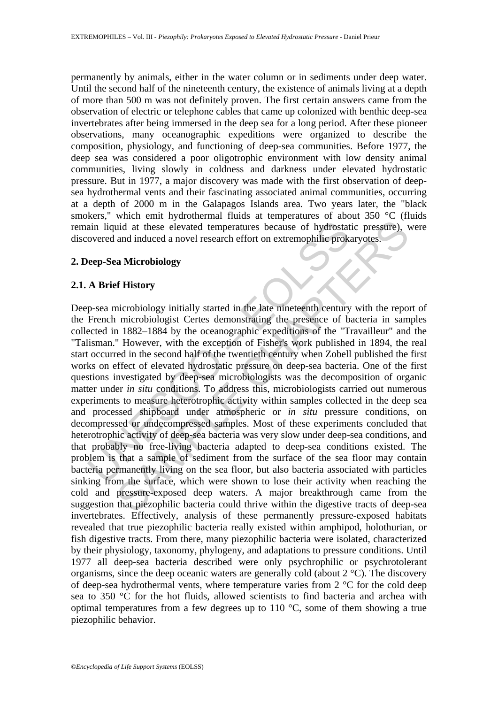permanently by animals, either in the water column or in sediments under deep water. Until the second half of the nineteenth century, the existence of animals living at a depth of more than 500 m was not definitely proven. The first certain answers came from the observation of electric or telephone cables that came up colonized with benthic deep-sea invertebrates after being immersed in the deep sea for a long period. After these pioneer observations, many oceanographic expeditions were organized to describe the composition, physiology, and functioning of deep-sea communities. Before 1977, the deep sea was considered a poor oligotrophic environment with low density animal communities, living slowly in coldness and darkness under elevated hydrostatic pressure. But in 1977, a major discovery was made with the first observation of deepsea hydrothermal vents and their fascinating associated animal communities, occurring at a depth of 2000 m in the Galapagos Islands area. Two years later, the "black smokers," which emit hydrothermal fluids at temperatures of about 350 °C (fluids remain liquid at these elevated temperatures because of hydrostatic pressure), were discovered and induced a novel research effort on extremophilic prokaryotes.

## **2. Deep-Sea Microbiology**

## **2.1. A Brief History**

ain liquid at these elevated temperatures because of hydrostat<br>overed and induced a novel research effort on extremophilic prok-<br>**leep-Sea Microbiology**<br>**A Brief History**<br>**A Brief History**<br>**A Brief History**<br>**A Brief Histo** in the set of the set of the set of the set of the set of the set of the pressure. The presence of the presence of the set of the set of the set of the set of the set of the set of the set of the set of the set of the set Deep-sea microbiology initially started in the late nineteenth century with the report of the French microbiologist Certes demonstrating the presence of bacteria in samples collected in 1882–1884 by the oceanographic expeditions of the "Travailleur" and the "Talisman." However, with the exception of Fisher's work published in 1894, the real start occurred in the second half of the twentieth century when Zobell published the first works on effect of elevated hydrostatic pressure on deep-sea bacteria. One of the first questions investigated by deep-sea microbiologists was the decomposition of organic matter under *in situ* conditions. To address this, microbiologists carried out numerous experiments to measure heterotrophic activity within samples collected in the deep sea and processed shipboard under atmospheric or *in situ* pressure conditions, on decompressed or undecompressed samples. Most of these experiments concluded that heterotrophic activity of deep-sea bacteria was very slow under deep-sea conditions, and that probably no free-living bacteria adapted to deep-sea conditions existed. The problem is that a sample of sediment from the surface of the sea floor may contain bacteria permanently living on the sea floor, but also bacteria associated with particles sinking from the surface, which were shown to lose their activity when reaching the cold and pressure-exposed deep waters. A major breakthrough came from the suggestion that piezophilic bacteria could thrive within the digestive tracts of deep-sea invertebrates. Effectively, analysis of these permanently pressure-exposed habitats revealed that true piezophilic bacteria really existed within amphipod, holothurian, or fish digestive tracts. From there, many piezophilic bacteria were isolated, characterized by their physiology, taxonomy, phylogeny, and adaptations to pressure conditions. Until 1977 all deep-sea bacteria described were only psychrophilic or psychrotolerant organisms, since the deep oceanic waters are generally cold (about 2 °C). The discovery of deep-sea hydrothermal vents, where temperature varies from 2 °C for the cold deep sea to 350 °C for the hot fluids, allowed scientists to find bacteria and archea with optimal temperatures from a few degrees up to 110  $^{\circ}$ C, some of them showing a true piezophilic behavior.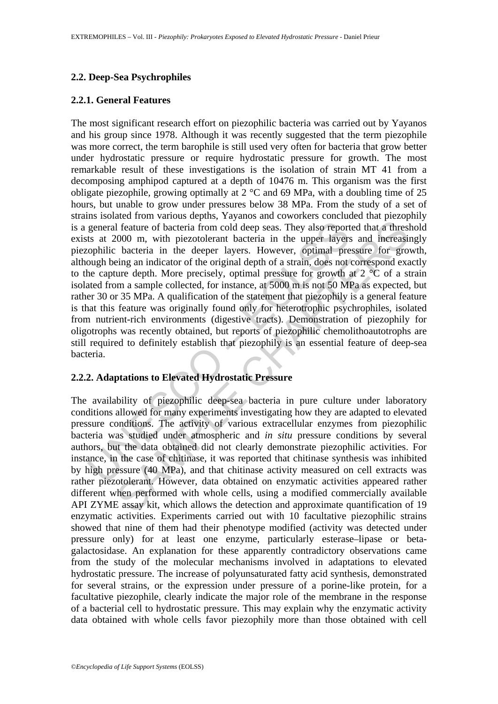## **2.2. Deep-Sea Psychrophiles**

## **2.2.1. General Features**

general feature of bacteria from cold deep seas. They also report<br>ts at 2000 m, with piezotolerant bacteria in the upper layers<br>ophilic bacteria in the deeper layers. However, optimal pre-<br>ough being an indicator of the o also en increase well and the dependent and positive and positive and positive and increase of leadertie and interesting an indicator of the original depth of a strain, does not correspond exact beging an indicator of the The most significant research effort on piezophilic bacteria was carried out by Yayanos and his group since 1978. Although it was recently suggested that the term piezophile was more correct, the term barophile is still used very often for bacteria that grow better under hydrostatic pressure or require hydrostatic pressure for growth. The most remarkable result of these investigations is the isolation of strain MT 41 from a decomposing amphipod captured at a depth of 10476 m. This organism was the first obligate piezophile, growing optimally at 2 °C and 69 MPa, with a doubling time of 25 hours, but unable to grow under pressures below 38 MPa. From the study of a set of strains isolated from various depths, Yayanos and coworkers concluded that piezophily is a general feature of bacteria from cold deep seas. They also reported that a threshold exists at 2000 m, with piezotolerant bacteria in the upper layers and increasingly piezophilic bacteria in the deeper layers. However, optimal pressure for growth, although being an indicator of the original depth of a strain, does not correspond exactly to the capture depth. More precisely, optimal pressure for growth at  $2 \text{ }^{\circ}C$  of a strain isolated from a sample collected, for instance, at 5000 m is not 50 MPa as expected, but rather 30 or 35 MPa. A qualification of the statement that piezophily is a general feature is that this feature was originally found only for heterotrophic psychrophiles, isolated from nutrient-rich environments (digestive tracts). Demonstration of piezophily for oligotrophs was recently obtained, but reports of piezophilic chemolithoautotrophs are still required to definitely establish that piezophily is an essential feature of deep-sea bacteria.

## **2.2.2. Adaptations to Elevated Hydrostatic Pressure**

The availability of piezophilic deep-sea bacteria in pure culture under laboratory conditions allowed for many experiments investigating how they are adapted to elevated pressure conditions. The activity of various extracellular enzymes from piezophilic bacteria was studied under atmospheric and *in situ* pressure conditions by several authors, but the data obtained did not clearly demonstrate piezophilic activities. For instance, in the case of chitinase, it was reported that chitinase synthesis was inhibited by high pressure (40 MPa), and that chitinase activity measured on cell extracts was rather piezotolerant. However, data obtained on enzymatic activities appeared rather different when performed with whole cells, using a modified commercially available API ZYME assay kit, which allows the detection and approximate quantification of 19 enzymatic activities. Experiments carried out with 10 facultative piezophilic strains showed that nine of them had their phenotype modified (activity was detected under pressure only) for at least one enzyme, particularly esterase–lipase or betagalactosidase. An explanation for these apparently contradictory observations came from the study of the molecular mechanisms involved in adaptations to elevated hydrostatic pressure. The increase of polyunsaturated fatty acid synthesis, demonstrated for several strains, or the expression under pressure of a porine-like protein, for a facultative piezophile, clearly indicate the major role of the membrane in the response of a bacterial cell to hydrostatic pressure. This may explain why the enzymatic activity data obtained with whole cells favor piezophily more than those obtained with cell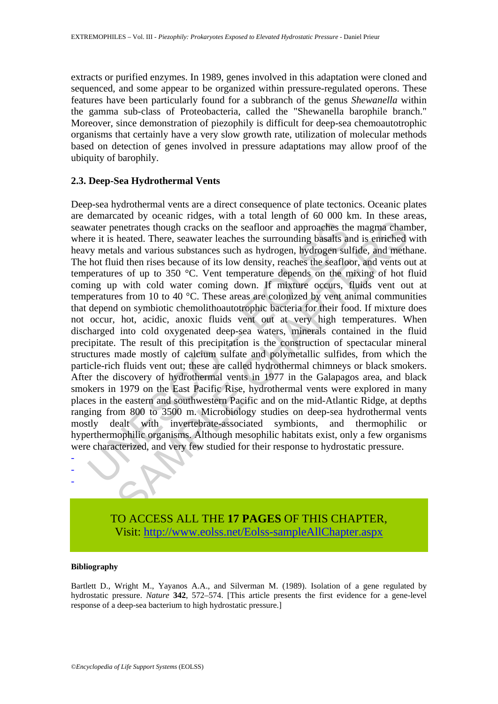extracts or purified enzymes. In 1989, genes involved in this adaptation were cloned and sequenced, and some appear to be organized within pressure-regulated operons. These features have been particularly found for a subbranch of the genus *Shewanella* within the gamma sub-class of Proteobacteria, called the "Shewanella barophile branch." Moreover, since demonstration of piezophily is difficult for deep-sea chemoautotrophic organisms that certainly have a very slow growth rate, utilization of molecular methods based on detection of genes involved in pressure adaptations may allow proof of the ubiquity of barophily.

## **2.3. Deep-Sea Hydrothermal Vents**

water penetrates though cracks on the seafloor and approaches the<br>re it is heated. There, seawater leaches the surrounding basalts and<br>y metals and various substances such as hydrogen, hydrogen sul<br>hot fluid then rises bec Show the solution of the solution of the solution of the solution control and the search of the search and variable then rises because of its low density, reaches the search of the magna channel heated. There, seawater lea Deep-sea hydrothermal vents are a direct consequence of plate tectonics. Oceanic plates are demarcated by oceanic ridges, with a total length of 60 000 km. In these areas, seawater penetrates though cracks on the seafloor and approaches the magma chamber, where it is heated. There, seawater leaches the surrounding basalts and is enriched with heavy metals and various substances such as hydrogen, hydrogen sulfide, and methane. The hot fluid then rises because of its low density, reaches the seafloor, and vents out at temperatures of up to 350 °C. Vent temperature depends on the mixing of hot fluid coming up with cold water coming down. If mixture occurs, fluids vent out at temperatures from 10 to 40 °C. These areas are colonized by vent animal communities that depend on symbiotic chemolithoautotrophic bacteria for their food. If mixture does not occur, hot, acidic, anoxic fluids vent out at very high temperatures. When discharged into cold oxygenated deep-sea waters, minerals contained in the fluid precipitate. The result of this precipitation is the construction of spectacular mineral structures made mostly of calcium sulfate and polymetallic sulfides, from which the particle-rich fluids vent out; these are called hydrothermal chimneys or black smokers. After the discovery of hydrothermal vents in 1977 in the Galapagos area, and black smokers in 1979 on the East Pacific Rise, hydrothermal vents were explored in many places in the eastern and southwestern Pacific and on the mid-Atlantic Ridge, at depths ranging from 800 to 3500 m. Microbiology studies on deep-sea hydrothermal vents mostly dealt with invertebrate-associated symbionts, and thermophilic or hyperthermophilic organisms. Although mesophilic habitats exist, only a few organisms were characterized, and very few studied for their response to hydrostatic pressure.



#### **Bibliography**

- - -

Bartlett D., Wright M., Yayanos A.A., and Silverman M. (1989). Isolation of a gene regulated by hydrostatic pressure. *Nature* **342**, 572–574. [This article presents the first evidence for a gene-level response of a deep-sea bacterium to high hydrostatic pressure.]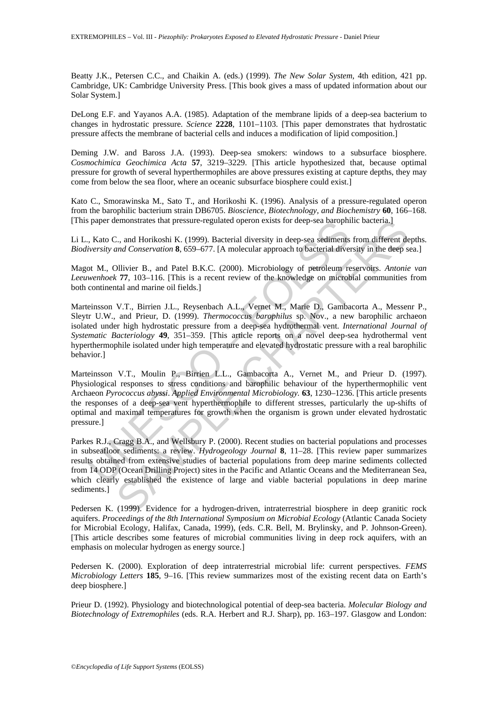Beatty J.K., Petersen C.C., and Chaikin A. (eds.) (1999). *The New Solar System*, 4th edition, 421 pp. Cambridge, UK: Cambridge University Press. [This book gives a mass of updated information about our Solar System.]

DeLong E.F. and Yayanos A.A. (1985). Adaptation of the membrane lipids of a deep-sea bacterium to changes in hydrostatic pressure. *Science* **2228**, 1101–1103. [This paper demonstrates that hydrostatic pressure affects the membrane of bacterial cells and induces a modification of lipid composition.]

Deming J.W. and Baross J.A. (1993). Deep-sea smokers: windows to a subsurface biosphere. *Cosmochimica Geochimica Acta* **57**, 3219–3229. [This article hypothesized that, because optimal pressure for growth of several hyperthermophiles are above pressures existing at capture depths, they may come from below the sea floor, where an oceanic subsurface biosphere could exist.]

Kato C., Smorawinska M., Sato T., and Horikoshi K. (1996). Analysis of a pressure-regulated operon from the barophilic bacterium strain DB6705. *Bioscience, Biotechnology, and Biochemistry* **60**, 166–168. [This paper demonstrates that pressure-regulated operon exists for deep-sea barophilic bacteria.]

Li L., Kato C., and Horikoshi K. (1999). Bacterial diversity in deep-sea sediments from different depths. *Biodiversity and Conservation* **8**, 659–677. [A molecular approach to bacterial diversity in the deep sea.]

Magot M., Ollivier B., and Patel B.K.C. (2000). Microbiology of petroleum reservoirs. *Antonie van Leeuwenhoek* **77**, 103–116. [This is a recent review of the knowledge on microbial communities from both continental and marine oil fields.]

paper aemonstrates that pressure-regulated operon exists for deep-sea barophin,<br>
Kato C., and Horikoshi K. (1999). Bacterial diversity in deep-sea sediments<br> *iversity and Conservation* 8, 659–677. [A molecular approach to emonstrates that pressure-regulated operon exists for deep-sea barophilic bacteria.]<br>
2., and Horikoshi K. (1999). Bacterial diversity in deep-sea sediments from different de-<br>
and Conservation 8, 659-677. [A molecular app Marteinsson V.T., Birrien J.L., Reysenbach A.L., Vernet M., Marie D., Gambacorta A., Messenr P., Sleytr U.W., and Prieur, D. (1999). *Thermococcus barophilus* sp. Nov., a new barophilic archaeon isolated under high hydrostatic pressure from a deep-sea hydrothermal vent. *International Journal of Systematic Bacteriology* **49**, 351–359. [This article reports on a novel deep-sea hydrothermal vent hyperthermophile isolated under high temperature and elevated hydrostatic pressure with a real barophilic behavior.]

Marteinsson V.T., Moulin P., Birrien L.L., Gambacorta A., Vernet M., and Prieur D. (1997). Physiological responses to stress conditions and barophilic behaviour of the hyperthermophilic vent Archaeon *Pyrococcus abyssi*. *Applied Environmental Microbiology.* **63**, 1230–1236. [This article presents the responses of a deep-sea vent hyperthermophile to different stresses, particularly the up-shifts of optimal and maximal temperatures for growth when the organism is grown under elevated hydrostatic pressure.]

Parkes R.J., Cragg B.A., and Wellsbury P. (2000). Recent studies on bacterial populations and processes in subseafloor sediments: a review. *Hydrogeology Journal* **8**, 11–28. [This review paper summarizes results obtained from extensive studies of bacterial populations from deep marine sediments collected from 14 ODP (Ocean Drilling Project) sites in the Pacific and Atlantic Oceans and the Mediterranean Sea, which clearly established the existence of large and viable bacterial populations in deep marine sediments.]

Pedersen K. (1999). Evidence for a hydrogen-driven, intraterrestrial biosphere in deep granitic rock aquifers. *Proceedings of the 8th International Symposium on Microbial Ecology* (Atlantic Canada Society for Microbial Ecology, Halifax, Canada, 1999), (eds. C.R. Bell, M. Brylinsky, and P. Johnson-Green). [This article describes some features of microbial communities living in deep rock aquifers, with an emphasis on molecular hydrogen as energy source.]

Pedersen K. (2000). Exploration of deep intraterrestrial microbial life: current perspectives. *FEMS Microbiology Letters* **185**, 9–16. [This review summarizes most of the existing recent data on Earth's deep biosphere.]

Prieur D. (1992). Physiology and biotechnological potential of deep-sea bacteria. *Molecular Biology and Biotechnology of Extremophiles* (eds. R.A. Herbert and R.J. Sharp), pp. 163–197. Glasgow and London: